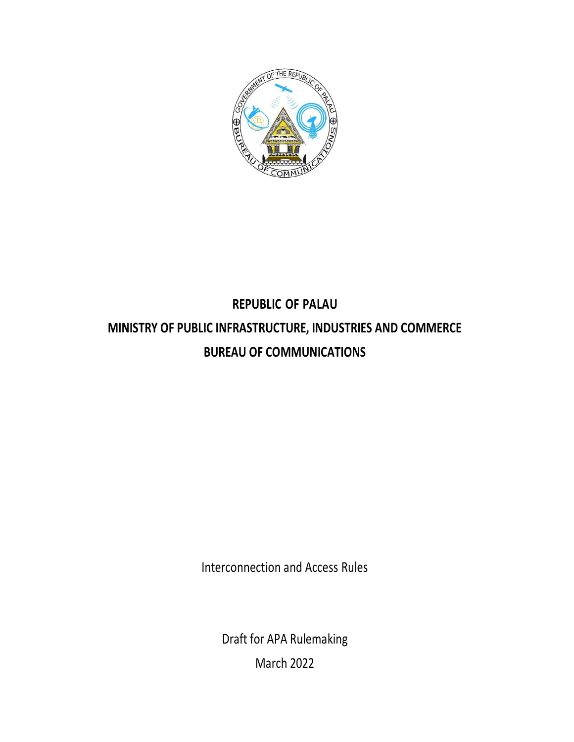

# **REPUBLIC OF PALAU MINISTRY OF PUBLIC INFRASTRUCTURE, INDUSTRIES AND COMMERCE BUREAU OF COMMUNICATIONS**

Interconnection and Access Rules

Draft for APA Rulemaking March 2022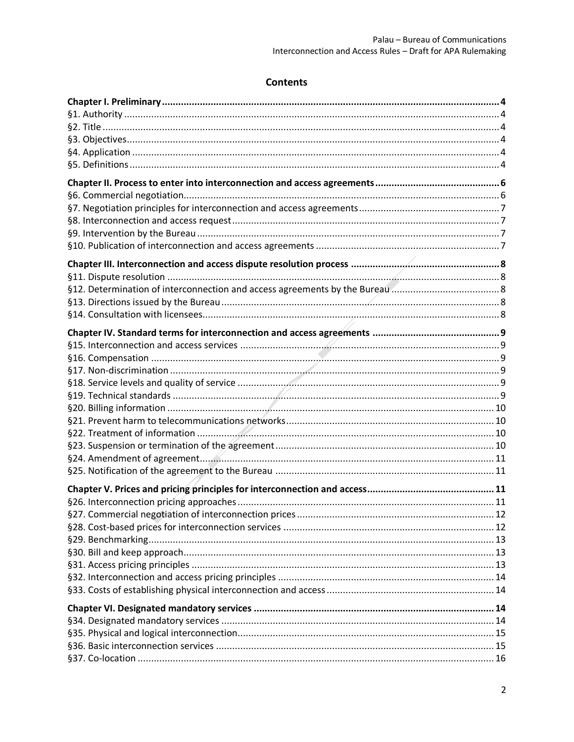## **Contents**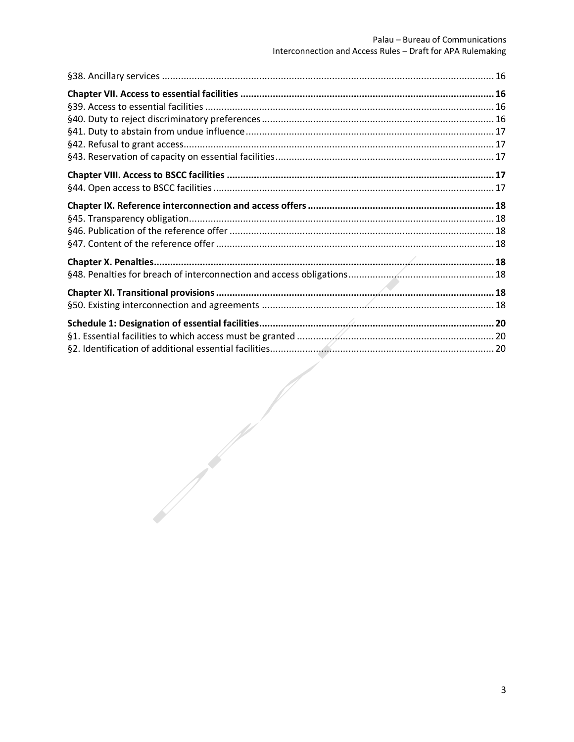$\mathscr{L}$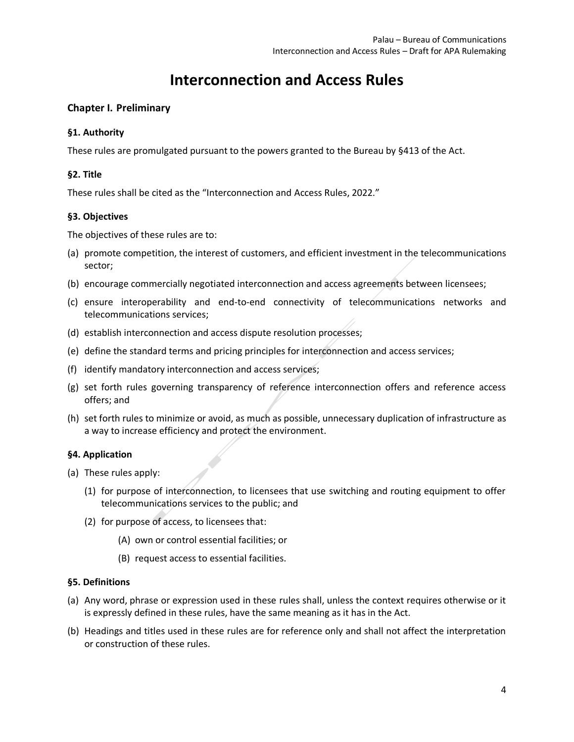## **Interconnection and Access Rules**

## <span id="page-3-0"></span>**Chapter I. Preliminary**

### <span id="page-3-1"></span>**§1. Authority**

These rules are promulgated pursuant to the powers granted to the Bureau by §413 of the Act.

## <span id="page-3-2"></span>**§2. Title**

These rules shall be cited as the "Interconnection and Access Rules, 2022."

### <span id="page-3-3"></span>**§3. Objectives**

The objectives of these rules are to:

- (a) promote competition, the interest of customers, and efficient investment in the telecommunications sector;
- (b) encourage commercially negotiated interconnection and access agreements between licensees;
- (c) ensure interoperability and end-to-end connectivity of telecommunications networks and telecommunications services;
- (d) establish interconnection and access dispute resolution processes;
- (e) define the standard terms and pricing principles for interconnection and access services;
- (f) identify mandatory interconnection and access services;
- (g) set forth rules governing transparency of reference interconnection offers and reference access offers; and
- (h) set forth rules to minimize or avoid, as much as possible, unnecessary duplication of infrastructure as a way to increase efficiency and protect the environment.

### <span id="page-3-4"></span>**§4. Application**

- (a) These rules apply:
	- (1) for purpose of interconnection, to licensees that use switching and routing equipment to offer telecommunications services to the public; and
	- (2) for purpose of access, to licensees that:
		- (A) own or control essential facilities; or
		- (B) request access to essential facilities.

## <span id="page-3-5"></span>**§5. Definitions**

- (a) Any word, phrase or expression used in these rules shall, unless the context requires otherwise or it is expressly defined in these rules, have the same meaning as it has in the Act.
- (b) Headings and titles used in these rules are for reference only and shall not affect the interpretation or construction of these rules.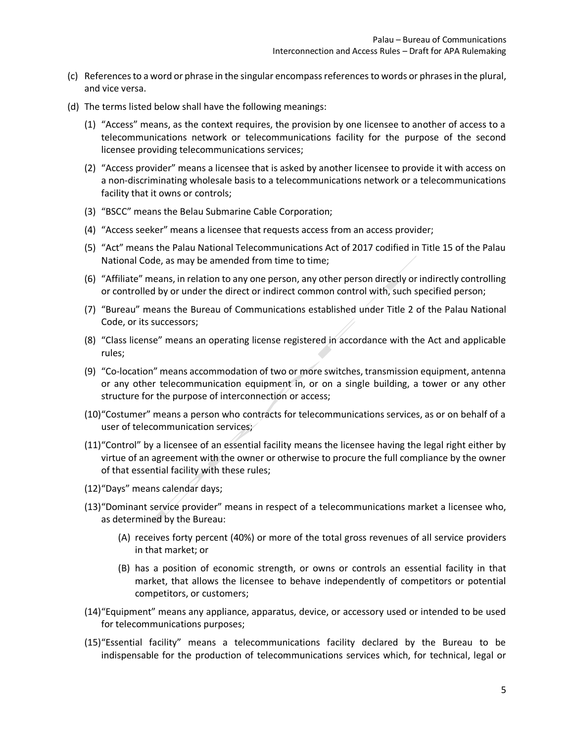- (c) References to a word or phrase in the singular encompass references to words or phrases in the plural, and vice versa.
- (d) The terms listed below shall have the following meanings:
	- (1) "Access" means, as the context requires, the provision by one licensee to another of access to a telecommunications network or telecommunications facility for the purpose of the second licensee providing telecommunications services;
	- (2) "Access provider" means a licensee that is asked by another licensee to provide it with access on a non-discriminating wholesale basis to a telecommunications network or a telecommunications facility that it owns or controls;
	- (3) "BSCC" means the Belau Submarine Cable Corporation;
	- (4) "Access seeker" means a licensee that requests access from an access provider;
	- (5) "Act" means the Palau National Telecommunications Act of 2017 codified in Title 15 of the Palau National Code, as may be amended from time to time;
	- (6) "Affiliate" means, in relation to any one person, any other person directly or indirectly controlling or controlled by or under the direct or indirect common control with, such specified person;
	- (7) "Bureau" means the Bureau of Communications established under Title 2 of the Palau National Code, or its successors;
	- (8) "Class license" means an operating license registered in accordance with the Act and applicable rules;
	- (9) "Co-location" means accommodation of two or more switches, transmission equipment, antenna or any other telecommunication equipment in, or on a single building, a tower or any other structure for the purpose of interconnection or access;
	- (10)"Costumer" means a person who contracts for telecommunications services, as or on behalf of a user of telecommunication services;
	- (11)"Control" by a licensee of an essential facility means the licensee having the legal right either by virtue of an agreement with the owner or otherwise to procure the full compliance by the owner of that essential facility with these rules;
	- (12)"Days" means calendar days;
	- (13)"Dominant service provider" means in respect of a telecommunications market a licensee who, as determined by the Bureau:
		- (A) receives forty percent (40%) or more of the total gross revenues of all service providers in that market; or
		- (B) has a position of economic strength, or owns or controls an essential facility in that market, that allows the licensee to behave independently of competitors or potential competitors, or customers;
	- (14)"Equipment" means any appliance, apparatus, device, or accessory used or intended to be used for telecommunications purposes;
	- (15)"Essential facility" means a telecommunications facility declared by the Bureau to be indispensable for the production of telecommunications services which, for technical, legal or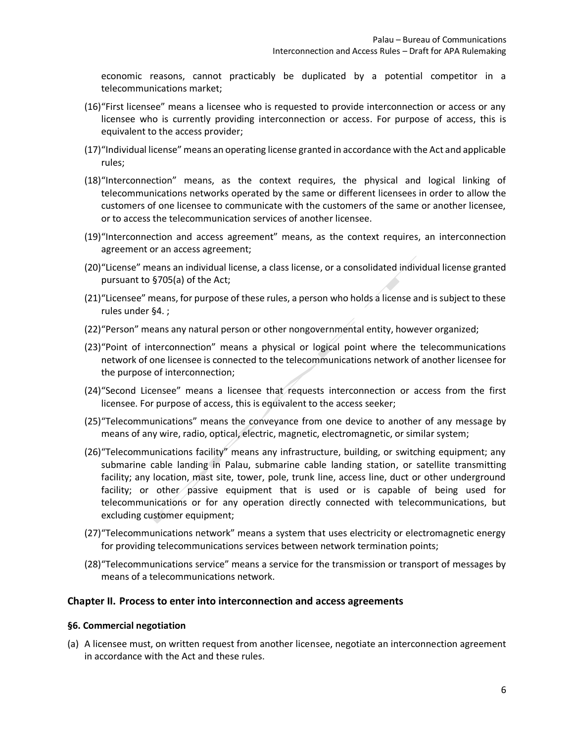economic reasons, cannot practicably be duplicated by a potential competitor in a telecommunications market;

- (16)"First licensee" means a licensee who is requested to provide interconnection or access or any licensee who is currently providing interconnection or access. For purpose of access, this is equivalent to the access provider;
- (17)"Individual license" means an operating license granted in accordance with the Act and applicable rules;
- (18)"Interconnection" means, as the context requires, the physical and logical linking of telecommunications networks operated by the same or different licensees in order to allow the customers of one licensee to communicate with the customers of the same or another licensee, or to access the telecommunication services of another licensee.
- (19)"Interconnection and access agreement" means, as the context requires, an interconnection agreement or an access agreement;
- (20)"License" means an individual license, a class license, or a consolidated individual license granted pursuant to §705(a) of the Act;
- (21)"Licensee" means, for purpose of these rules, a person who holds a license and is subject to these rules unde[r §4. ;](#page-3-4)
- (22)"Person" means any natural person or other nongovernmental entity, however organized;
- (23)"Point of interconnection" means a physical or logical point where the telecommunications network of one licensee is connected to the telecommunications network of another licensee for the purpose of interconnection;
- (24)"Second Licensee" means a licensee that requests interconnection or access from the first licensee. For purpose of access, this is equivalent to the access seeker;
- (25)"Telecommunications" means the conveyance from one device to another of any message by means of any wire, radio, optical, electric, magnetic, electromagnetic, or similar system;
- (26)"Telecommunications facility" means any infrastructure, building, or switching equipment; any submarine cable landing in Palau, submarine cable landing station, or satellite transmitting facility; any location, mast site, tower, pole, trunk line, access line, duct or other underground facility; or other passive equipment that is used or is capable of being used for telecommunications or for any operation directly connected with telecommunications, but excluding customer equipment;
- (27)"Telecommunications network" means a system that uses electricity or electromagnetic energy for providing telecommunications services between network termination points;
- (28)"Telecommunications service" means a service for the transmission or transport of messages by means of a telecommunications network.

#### <span id="page-5-0"></span>**Chapter II. Process to enter into interconnection and access agreements**

#### <span id="page-5-1"></span>**§6. Commercial negotiation**

(a) A licensee must, on written request from another licensee, negotiate an interconnection agreement in accordance with the Act and these rules.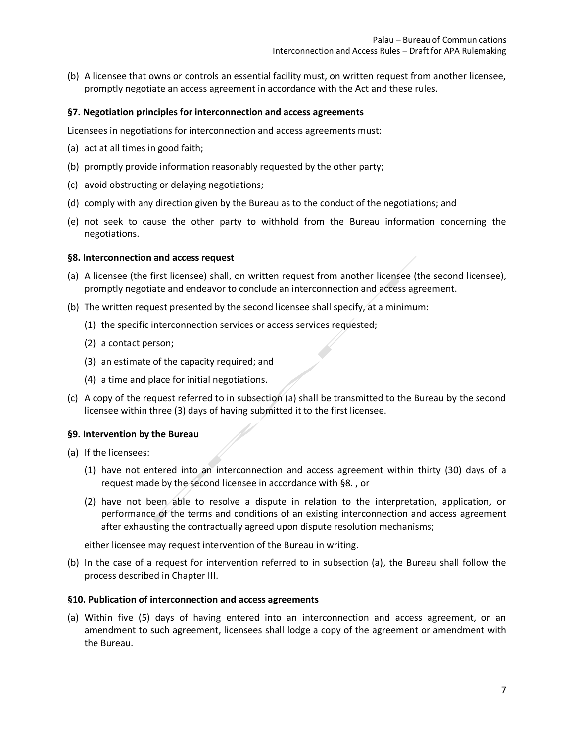(b) A licensee that owns or controls an essential facility must, on written request from another licensee, promptly negotiate an access agreement in accordance with the Act and these rules.

#### <span id="page-6-0"></span>**§7. Negotiation principles for interconnection and access agreements**

Licensees in negotiations for interconnection and access agreements must:

- (a) act at all times in good faith;
- (b) promptly provide information reasonably requested by the other party;
- (c) avoid obstructing or delaying negotiations;
- (d) comply with any direction given by the Bureau as to the conduct of the negotiations; and
- (e) not seek to cause the other party to withhold from the Bureau information concerning the negotiations.

#### <span id="page-6-1"></span>**§8. Interconnection and access request**

- (a) A licensee (the first licensee) shall, on written request from another licensee (the second licensee), promptly negotiate and endeavor to conclude an interconnection and access agreement.
- (b) The written request presented by the second licensee shall specify, at a minimum:
	- (1) the specific interconnection services or access services requested;
	- (2) a contact person;
	- (3) an estimate of the capacity required; and
	- (4) a time and place for initial negotiations.
- (c) A copy of the request referred to in subsection (a) shall be transmitted to the Bureau by the second licensee within three (3) days of having submitted it to the first licensee.

#### <span id="page-6-2"></span>**§9. Intervention by the Bureau**

- (a) If the licensees:
	- (1) have not entered into an interconnection and access agreement within thirty (30) days of a request made by the second licensee in accordance with [§8. ,](#page-6-1) or
	- (2) have not been able to resolve a dispute in relation to the interpretation, application, or performance of the terms and conditions of an existing interconnection and access agreement after exhausting the contractually agreed upon dispute resolution mechanisms;

either licensee may request intervention of the Bureau in writing.

(b) In the case of a request for intervention referred to in subsection (a), the Bureau shall follow the process described in [Chapter III.](#page-7-0)

#### <span id="page-6-3"></span>**§10. Publication of interconnection and access agreements**

(a) Within five (5) days of having entered into an interconnection and access agreement, or an amendment to such agreement, licensees shall lodge a copy of the agreement or amendment with the Bureau.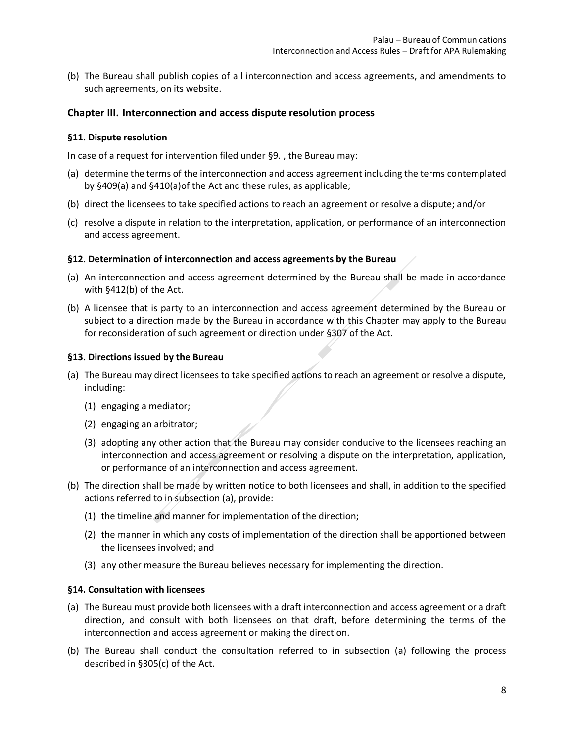(b) The Bureau shall publish copies of all interconnection and access agreements, and amendments to such agreements, on its website.

#### <span id="page-7-0"></span>**Chapter III. Interconnection and access dispute resolution process**

#### <span id="page-7-1"></span>**§11. Dispute resolution**

In case of a request for intervention filed under [§9. ,](#page-6-2) the Bureau may:

- (a) determine the terms of the interconnection and access agreement including the terms contemplated by §409(a) and §410(a)of the Act and these rules, as applicable;
- (b) direct the licensees to take specified actions to reach an agreement or resolve a dispute; and/or
- (c) resolve a dispute in relation to the interpretation, application, or performance of an interconnection and access agreement.

#### <span id="page-7-2"></span>**§12. Determination of interconnection and access agreements by the Bureau**

- (a) An interconnection and access agreement determined by the Bureau shall be made in accordance with §412(b) of the Act.
- (b) A licensee that is party to an interconnection and access agreement determined by the Bureau or subject to a direction made by the Bureau in accordance with this Chapter may apply to the Bureau for reconsideration of such agreement or direction under §307 of the Act.

#### <span id="page-7-3"></span>**§13. Directions issued by the Bureau**

- (a) The Bureau may direct licensees to take specified actions to reach an agreement or resolve a dispute, including:
	- (1) engaging a mediator;
	- (2) engaging an arbitrator;
	- (3) adopting any other action that the Bureau may consider conducive to the licensees reaching an interconnection and access agreement or resolving a dispute on the interpretation, application, or performance of an interconnection and access agreement.
- (b) The direction shall be made by written notice to both licensees and shall, in addition to the specified actions referred to in subsection (a), provide:
	- (1) the timeline and manner for implementation of the direction;
	- (2) the manner in which any costs of implementation of the direction shall be apportioned between the licensees involved; and
	- (3) any other measure the Bureau believes necessary for implementing the direction.

#### <span id="page-7-4"></span>**§14. Consultation with licensees**

- (a) The Bureau must provide both licensees with a draft interconnection and access agreement or a draft direction, and consult with both licensees on that draft, before determining the terms of the interconnection and access agreement or making the direction.
- (b) The Bureau shall conduct the consultation referred to in subsection (a) following the process described in §305(c) of the Act.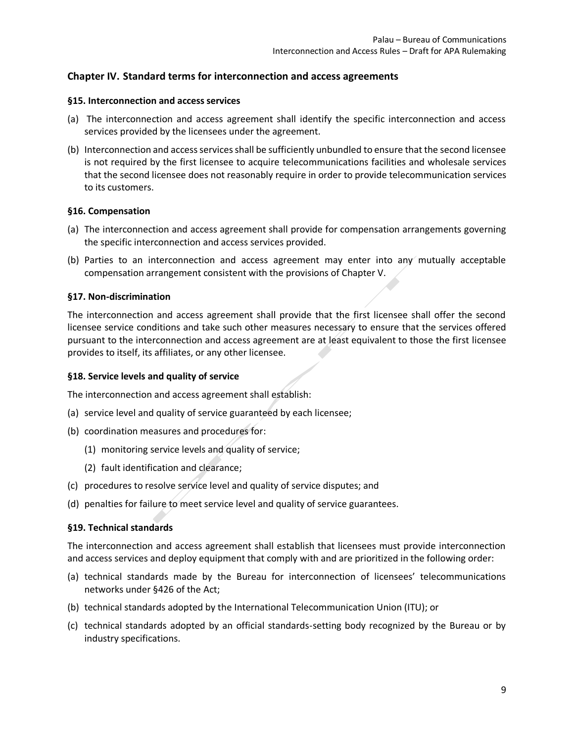## <span id="page-8-0"></span>**Chapter IV. Standard terms for interconnection and access agreements**

#### <span id="page-8-1"></span>**§15. Interconnection and access services**

- (a) The interconnection and access agreement shall identify the specific interconnection and access services provided by the licensees under the agreement.
- (b) Interconnection and access services shall be sufficiently unbundled to ensure that the second licensee is not required by the first licensee to acquire telecommunications facilities and wholesale services that the second licensee does not reasonably require in order to provide telecommunication services to its customers.

#### <span id="page-8-2"></span>**§16. Compensation**

- (a) The interconnection and access agreement shall provide for compensation arrangements governing the specific interconnection and access services provided.
- (b) Parties to an interconnection and access agreement may enter into any mutually acceptable compensation arrangement consistent with the provisions of [Chapter V.](#page-10-2)

#### <span id="page-8-3"></span>**§17. Non-discrimination**

The interconnection and access agreement shall provide that the first licensee shall offer the second licensee service conditions and take such other measures necessary to ensure that the services offered pursuant to the interconnection and access agreement are at least equivalent to those the first licensee provides to itself, its affiliates, or any other licensee.

#### <span id="page-8-4"></span>**§18. Service levels and quality of service**

The interconnection and access agreement shall establish:

- (a) service level and quality of service guaranteed by each licensee;
- (b) coordination measures and procedures for:
	- (1) monitoring service levels and quality of service;
	- (2) fault identification and clearance;
- (c) procedures to resolve service level and quality of service disputes; and
- (d) penalties for failure to meet service level and quality of service guarantees.

#### <span id="page-8-5"></span>**§19. Technical standards**

The interconnection and access agreement shall establish that licensees must provide interconnection and access services and deploy equipment that comply with and are prioritized in the following order:

- (a) technical standards made by the Bureau for interconnection of licensees' telecommunications networks under §426 of the Act;
- (b) technical standards adopted by the International Telecommunication Union (ITU); or
- (c) technical standards adopted by an official standards-setting body recognized by the Bureau or by industry specifications.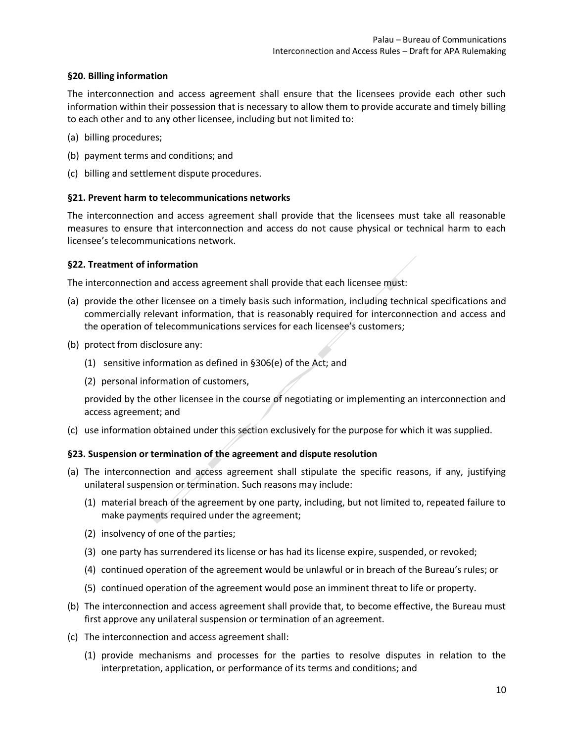### <span id="page-9-0"></span>**§20. Billing information**

The interconnection and access agreement shall ensure that the licensees provide each other such information within their possession that is necessary to allow them to provide accurate and timely billing to each other and to any other licensee, including but not limited to:

- (a) billing procedures;
- (b) payment terms and conditions; and
- (c) billing and settlement dispute procedures.

#### <span id="page-9-1"></span>**§21. Prevent harm to telecommunications networks**

The interconnection and access agreement shall provide that the licensees must take all reasonable measures to ensure that interconnection and access do not cause physical or technical harm to each licensee's telecommunications network.

#### <span id="page-9-2"></span>**§22. Treatment of information**

The interconnection and access agreement shall provide that each licensee must:

- (a) provide the other licensee on a timely basis such information, including technical specifications and commercially relevant information, that is reasonably required for interconnection and access and the operation of telecommunications services for each licensee's customers;
- (b) protect from disclosure any:
	- (1) sensitive information as defined in §306(e) of the Act; and
	- (2) personal information of customers,

provided by the other licensee in the course of negotiating or implementing an interconnection and access agreement; and

(c) use information obtained under this section exclusively for the purpose for which it was supplied.

#### <span id="page-9-3"></span>**§23. Suspension or termination of the agreement and dispute resolution**

- (a) The interconnection and access agreement shall stipulate the specific reasons, if any, justifying unilateral suspension or termination. Such reasons may include:
	- (1) material breach of the agreement by one party, including, but not limited to, repeated failure to make payments required under the agreement;
	- (2) insolvency of one of the parties;
	- (3) one party has surrendered its license or has had its license expire, suspended, or revoked;
	- (4) continued operation of the agreement would be unlawful or in breach of the Bureau's rules; or
	- (5) continued operation of the agreement would pose an imminent threat to life or property.
- (b) The interconnection and access agreement shall provide that, to become effective, the Bureau must first approve any unilateral suspension or termination of an agreement.
- (c) The interconnection and access agreement shall:
	- (1) provide mechanisms and processes for the parties to resolve disputes in relation to the interpretation, application, or performance of its terms and conditions; and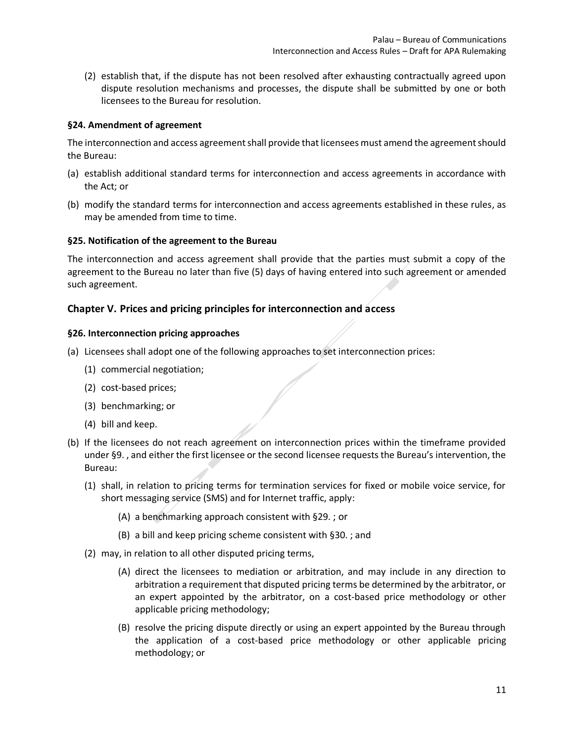(2) establish that, if the dispute has not been resolved after exhausting contractually agreed upon dispute resolution mechanisms and processes, the dispute shall be submitted by one or both licensees to the Bureau for resolution.

#### <span id="page-10-0"></span>**§24. Amendment of agreement**

The interconnection and access agreement shall provide that licensees must amend the agreement should the Bureau:

- (a) establish additional standard terms for interconnection and access agreements in accordance with the Act; or
- (b) modify the standard terms for interconnection and access agreements established in these rules, as may be amended from time to time.

#### <span id="page-10-1"></span>**§25. Notification of the agreement to the Bureau**

The interconnection and access agreement shall provide that the parties must submit a copy of the agreement to the Bureau no later than five (5) days of having entered into such agreement or amended such agreement.

### <span id="page-10-2"></span>**Chapter V. Prices and pricing principles for interconnection and access**

#### <span id="page-10-3"></span>**§26. Interconnection pricing approaches**

- (a) Licensees shall adopt one of the following approaches to set interconnection prices:
	- (1) commercial negotiation;
	- (2) cost-based prices;
	- (3) benchmarking; or
	- (4) bill and keep.
- (b) If the licensees do not reach agreement on interconnection prices within the timeframe provided under [§9. ,](#page-6-2) and either the first licensee or the second licensee requests the Bureau's intervention, the Bureau:
	- (1) shall, in relation to pricing terms for termination services for fixed or mobile voice service, for short messaging service (SMS) and for Internet traffic, apply:
		- (A) a benchmarking approach consistent wit[h §29.](#page-12-0) ; or
		- (B) a bill and keep pricing scheme consistent with [§30. ;](#page-12-1) and
	- (2) may, in relation to all other disputed pricing terms,
		- (A) direct the licensees to mediation or arbitration, and may include in any direction to arbitration a requirement that disputed pricing terms be determined by the arbitrator, or an expert appointed by the arbitrator, on a cost-based price methodology or other applicable pricing methodology;
		- (B) resolve the pricing dispute directly or using an expert appointed by the Bureau through the application of a cost-based price methodology or other applicable pricing methodology; or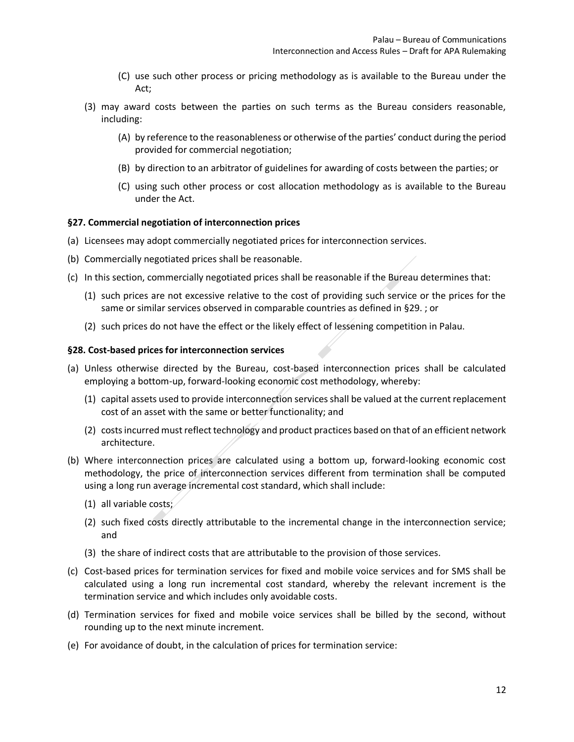- (C) use such other process or pricing methodology as is available to the Bureau under the Act;
- (3) may award costs between the parties on such terms as the Bureau considers reasonable, including:
	- (A) by reference to the reasonableness or otherwise of the parties' conduct during the period provided for commercial negotiation;
	- (B) by direction to an arbitrator of guidelines for awarding of costs between the parties; or
	- (C) using such other process or cost allocation methodology as is available to the Bureau under the Act.

#### <span id="page-11-0"></span>**§27. Commercial negotiation of interconnection prices**

- (a) Licensees may adopt commercially negotiated prices for interconnection services.
- (b) Commercially negotiated prices shall be reasonable.
- (c) In this section, commercially negotiated prices shall be reasonable if the Bureau determines that:
	- (1) such prices are not excessive relative to the cost of providing such service or the prices for the same or similar services observed in comparable countries as defined in [§29. ;](#page-12-0) or
	- (2) such prices do not have the effect or the likely effect of lessening competition in Palau.

#### <span id="page-11-1"></span>**§28. Cost-based prices for interconnection services**

- (a) Unless otherwise directed by the Bureau, cost-based interconnection prices shall be calculated employing a bottom-up, forward-looking economic cost methodology, whereby:
	- (1) capital assets used to provide interconnection servicesshall be valued at the current replacement cost of an asset with the same or better functionality; and
	- (2) costs incurred must reflect technology and product practices based on that of an efficient network architecture.
- (b) Where interconnection prices are calculated using a bottom up, forward-looking economic cost methodology, the price of interconnection services different from termination shall be computed using a long run average incremental cost standard, which shall include:
	- (1) all variable costs;
	- (2) such fixed costs directly attributable to the incremental change in the interconnection service; and
	- (3) the share of indirect costs that are attributable to the provision of those services.
- (c) Cost-based prices for termination services for fixed and mobile voice services and for SMS shall be calculated using a long run incremental cost standard, whereby the relevant increment is the termination service and which includes only avoidable costs.
- (d) Termination services for fixed and mobile voice services shall be billed by the second, without rounding up to the next minute increment.
- (e) For avoidance of doubt, in the calculation of prices for termination service: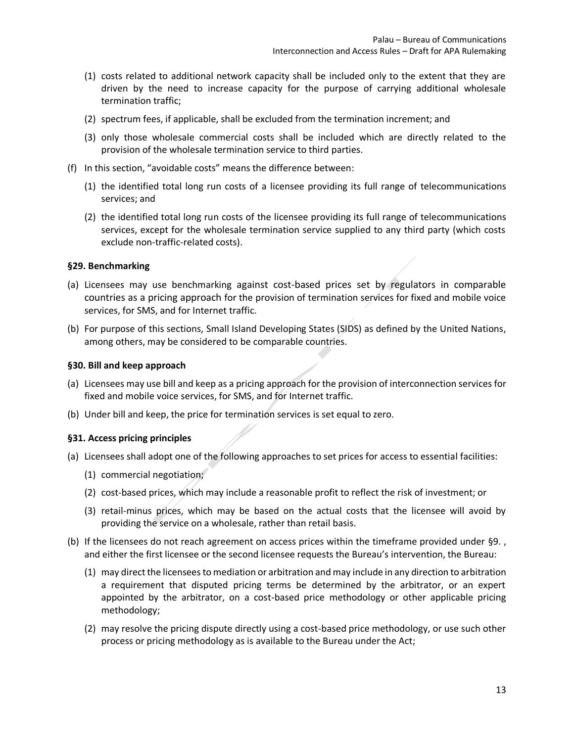- (1) costs related to additional network capacity shall be included only to the extent that they are driven by the need to increase capacity for the purpose of carrying additional wholesale termination traffic;
- (2) spectrum fees, if applicable, shall be excluded from the termination increment; and
- (3) only those wholesale commercial costs shall be included which are directly related to the provision of the wholesale termination service to third parties.
- (f) In this section, "avoidable costs" means the difference between:
	- (1) the identified total long run costs of a licensee providing its full range of telecommunications services; and
	- (2) the identified total long run costs of the licensee providing its full range of telecommunications services, except for the wholesale termination service supplied to any third party (which costs exclude non-traffic-related costs).

#### <span id="page-12-0"></span>**§29. Benchmarking**

- (a) Licensees may use benchmarking against cost-based prices set by regulators in comparable countries as a pricing approach for the provision of termination services for fixed and mobile voice services, for SMS, and for Internet traffic.
- (b) For purpose of this sections, Small Island Developing States (SIDS) as defined by the United Nations, among others, may be considered to be comparable countries.

#### <span id="page-12-1"></span>**§30. Bill and keep approach**

- (a) Licensees may use bill and keep as a pricing approach for the provision of interconnection services for fixed and mobile voice services, for SMS, and for Internet traffic.
- (b) Under bill and keep, the price for termination services is set equal to zero.

#### <span id="page-12-2"></span>**§31. Access pricing principles**

- (a) Licensees shall adopt one of the following approaches to set prices for access to essential facilities:
	- (1) commercial negotiation;
	- (2) cost-based prices, which may include a reasonable profit to reflect the risk of investment; or
	- (3) retail-minus prices, which may be based on the actual costs that the licensee will avoid by providing the service on a wholesale, rather than retail basis.
- (b) If the licensees do not reach agreement on access prices within the timeframe provided under [§9. ,](#page-6-2) and either the first licensee or the second licensee requests the Bureau's intervention, the Bureau:
	- (1) may direct the licensees to mediation or arbitration and may include in any direction to arbitration a requirement that disputed pricing terms be determined by the arbitrator, or an expert appointed by the arbitrator, on a cost-based price methodology or other applicable pricing methodology;
	- (2) may resolve the pricing dispute directly using a cost-based price methodology, or use such other process or pricing methodology as is available to the Bureau under the Act;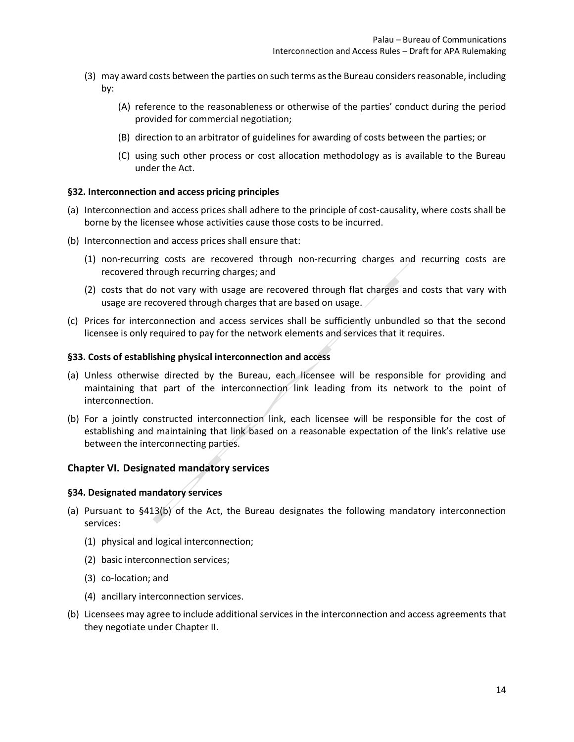- (3) may award costs between the parties on such terms as the Bureau considers reasonable, including by:
	- (A) reference to the reasonableness or otherwise of the parties' conduct during the period provided for commercial negotiation;
	- (B) direction to an arbitrator of guidelines for awarding of costs between the parties; or
	- (C) using such other process or cost allocation methodology as is available to the Bureau under the Act.

#### <span id="page-13-0"></span>**§32. Interconnection and access pricing principles**

- (a) Interconnection and access prices shall adhere to the principle of cost-causality, where costs shall be borne by the licensee whose activities cause those costs to be incurred.
- (b) Interconnection and access prices shall ensure that:
	- (1) non-recurring costs are recovered through non-recurring charges and recurring costs are recovered through recurring charges; and
	- (2) costs that do not vary with usage are recovered through flat charges and costs that vary with usage are recovered through charges that are based on usage.  $\angle$
- (c) Prices for interconnection and access services shall be sufficiently unbundled so that the second licensee is only required to pay for the network elements and services that it requires.

#### <span id="page-13-1"></span>**§33. Costs of establishing physical interconnection and access**

- (a) Unless otherwise directed by the Bureau, each licensee will be responsible for providing and maintaining that part of the interconnection link leading from its network to the point of interconnection.
- (b) For a jointly constructed interconnection link, each licensee will be responsible for the cost of establishing and maintaining that link based on a reasonable expectation of the link's relative use between the interconnecting parties.

#### <span id="page-13-2"></span>**Chapter VI. Designated mandatory services**

#### <span id="page-13-3"></span>**§34. Designated mandatory services**

- (a) Pursuant to §413(b) of the Act, the Bureau designates the following mandatory interconnection services:
	- (1) physical and logical interconnection;
	- (2) basic interconnection services;
	- (3) co-location; and
	- (4) ancillary interconnection services.
- (b) Licensees may agree to include additional services in the interconnection and access agreements that they negotiate under [Chapter II.](#page-5-0)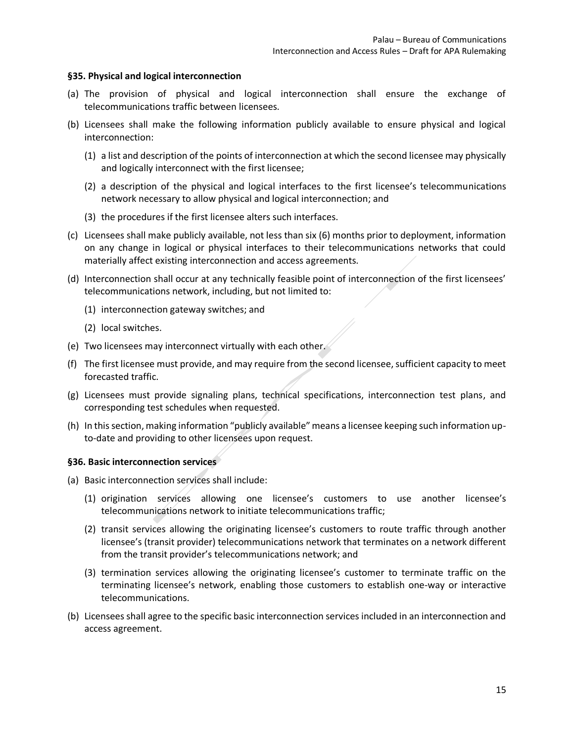#### <span id="page-14-0"></span>**§35. Physical and logical interconnection**

- (a) The provision of physical and logical interconnection shall ensure the exchange of telecommunications traffic between licensees.
- (b) Licensees shall make the following information publicly available to ensure physical and logical interconnection:
	- (1) a list and description of the points of interconnection at which the second licensee may physically and logically interconnect with the first licensee;
	- (2) a description of the physical and logical interfaces to the first licensee's telecommunications network necessary to allow physical and logical interconnection; and
	- (3) the procedures if the first licensee alters such interfaces.
- (c) Licensees shall make publicly available, not less than six (6) months prior to deployment, information on any change in logical or physical interfaces to their telecommunications networks that could materially affect existing interconnection and access agreements.
- (d) Interconnection shall occur at any technically feasible point of interconnection of the first licensees' telecommunications network, including, but not limited to:
	- (1) interconnection gateway switches; and
	- (2) local switches.
- (e) Two licensees may interconnect virtually with each other.
- (f) The first licensee must provide, and may require from the second licensee, sufficient capacity to meet forecasted traffic.
- (g) Licensees must provide signaling plans, technical specifications, interconnection test plans, and corresponding test schedules when requested.
- (h) In this section, making information "publicly available" means a licensee keeping such information upto-date and providing to other licensees upon request.

#### <span id="page-14-1"></span>**§36. Basic interconnection services**

- (a) Basic interconnection services shall include:
	- (1) origination services allowing one licensee's customers to use another licensee's telecommunications network to initiate telecommunications traffic;
	- (2) transit services allowing the originating licensee's customers to route traffic through another licensee's (transit provider) telecommunications network that terminates on a network different from the transit provider's telecommunications network; and
	- (3) termination services allowing the originating licensee's customer to terminate traffic on the terminating licensee's network, enabling those customers to establish one-way or interactive telecommunications.
- (b) Licensees shall agree to the specific basic interconnection services included in an interconnection and access agreement.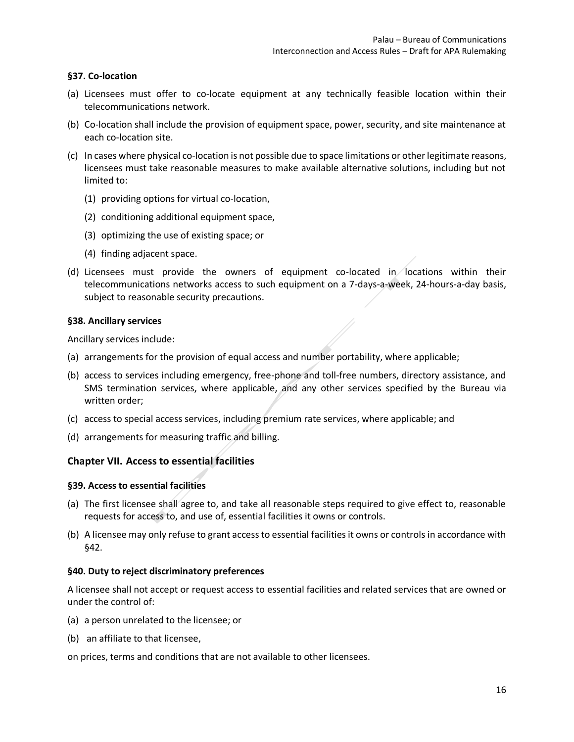### <span id="page-15-0"></span>**§37. Co-location**

- (a) Licensees must offer to co-locate equipment at any technically feasible location within their telecommunications network.
- (b) Co-location shall include the provision of equipment space, power, security, and site maintenance at each co-location site.
- (c) In cases where physical co-location is not possible due to space limitations or other legitimate reasons, licensees must take reasonable measures to make available alternative solutions, including but not limited to:
	- (1) providing options for virtual co-location,
	- (2) conditioning additional equipment space,
	- (3) optimizing the use of existing space; or
	- (4) finding adjacent space.
- (d) Licensees must provide the owners of equipment co-located in locations within their telecommunications networks access to such equipment on a 7-days-a-week, 24-hours-a-day basis, subject to reasonable security precautions.

#### <span id="page-15-1"></span>**§38. Ancillary services**

Ancillary services include:

- (a) arrangements for the provision of equal access and number portability, where applicable;
- (b) access to services including emergency, free-phone and toll-free numbers, directory assistance, and SMS termination services, where applicable, and any other services specified by the Bureau via written order;
- (c) access to special access services, including premium rate services, where applicable; and
- (d) arrangements for measuring traffic and billing.

### <span id="page-15-2"></span>**Chapter VII. Access to essential facilities**

#### <span id="page-15-3"></span>**§39. Access to essential facilities**

- (a) The first licensee shall agree to, and take all reasonable steps required to give effect to, reasonable requests for access to, and use of, essential facilities it owns or controls.
- (b) A licensee may only refuse to grant access to essential facilities it owns or controls in accordance with [§42.](#page-16-1)

#### <span id="page-15-4"></span>**§40. Duty to reject discriminatory preferences**

A licensee shall not accept or request access to essential facilities and related services that are owned or under the control of:

- (a) a person unrelated to the licensee; or
- (b) an affiliate to that licensee,

on prices, terms and conditions that are not available to other licensees.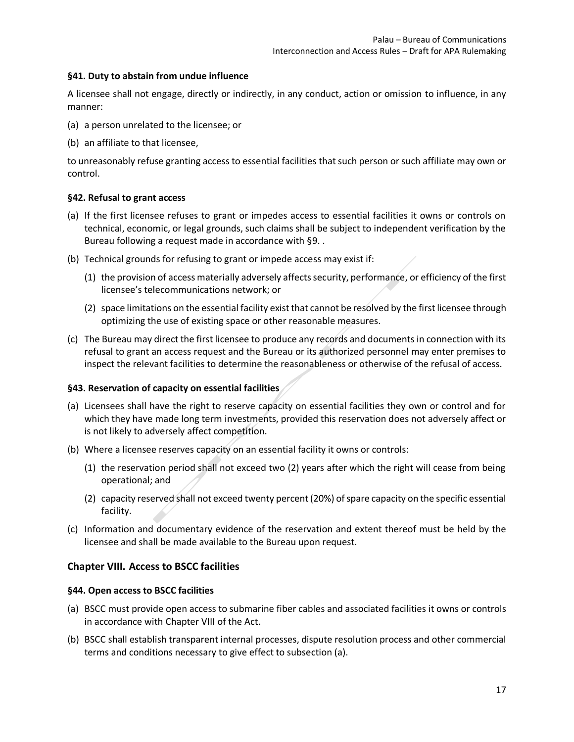### <span id="page-16-0"></span>**§41. Duty to abstain from undue influence**

A licensee shall not engage, directly or indirectly, in any conduct, action or omission to influence, in any manner:

- (a) a person unrelated to the licensee; or
- (b) an affiliate to that licensee,

to unreasonably refuse granting access to essential facilities that such person or such affiliate may own or control.

#### <span id="page-16-1"></span>**§42. Refusal to grant access**

- (a) If the first licensee refuses to grant or impedes access to essential facilities it owns or controls on technical, economic, or legal grounds, such claims shall be subject to independent verification by the Bureau following a request made in accordance with [§9. .](#page-6-2)
- (b) Technical grounds for refusing to grant or impede access may exist if:
	- (1) the provision of access materially adversely affects security, performance, or efficiency of the first licensee's telecommunications network; or
	- (2) space limitations on the essential facility exist that cannot be resolved by the first licensee through optimizing the use of existing space or other reasonable measures.
- (c) The Bureau may direct the first licensee to produce any records and documents in connection with its refusal to grant an access request and the Bureau or its authorized personnel may enter premises to inspect the relevant facilities to determine the reasonableness or otherwise of the refusal of access.

#### <span id="page-16-2"></span>**§43. Reservation of capacity on essential facilities**

- (a) Licensees shall have the right to reserve capacity on essential facilities they own or control and for which they have made long term investments, provided this reservation does not adversely affect or is not likely to adversely affect competition.
- (b) Where a licensee reserves capacity on an essential facility it owns or controls:
	- (1) the reservation period shall not exceed two (2) years after which the right will cease from being operational; and
	- (2) capacity reserved shall not exceed twenty percent (20%) of spare capacity on the specific essential facility.
- (c) Information and documentary evidence of the reservation and extent thereof must be held by the licensee and shall be made available to the Bureau upon request.

### <span id="page-16-3"></span>**Chapter VIII. Access to BSCC facilities**

#### <span id="page-16-4"></span>**§44. Open access to BSCC facilities**

- (a) BSCC must provide open access to submarine fiber cables and associated facilities it owns or controls in accordance with Chapter VIII of the Act.
- (b) BSCC shall establish transparent internal processes, dispute resolution process and other commercial terms and conditions necessary to give effect to subsection (a).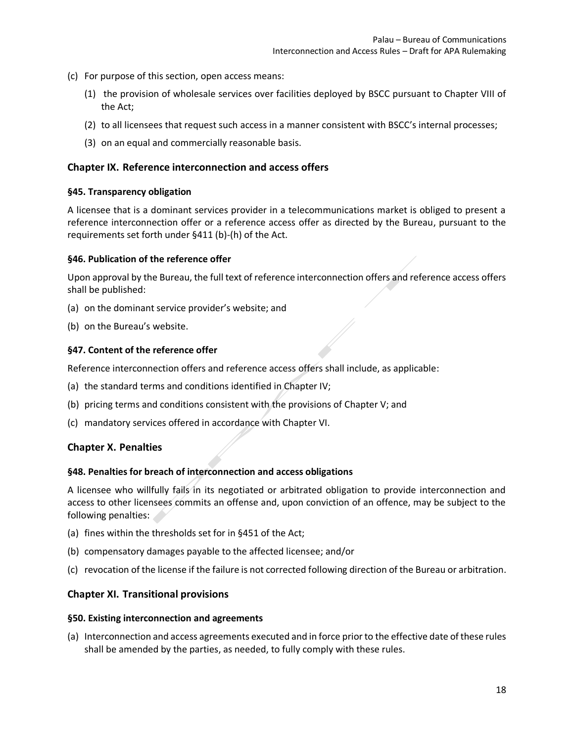- (c) For purpose of this section, open access means:
	- (1) the provision of wholesale services over facilities deployed by BSCC pursuant to Chapter VIII of the Act;
	- (2) to all licensees that request such access in a manner consistent with BSCC's internal processes;
	- (3) on an equal and commercially reasonable basis.

#### <span id="page-17-0"></span>**Chapter IX. Reference interconnection and access offers**

#### <span id="page-17-1"></span>**§45. Transparency obligation**

A licensee that is a dominant services provider in a telecommunications market is obliged to present a reference interconnection offer or a reference access offer as directed by the Bureau, pursuant to the requirements set forth under §411 (b)-(h) of the Act.

#### <span id="page-17-2"></span>**§46. Publication of the reference offer**

Upon approval by the Bureau, the full text of reference interconnection offers and reference access offers shall be published:

- (a) on the dominant service provider's website; and
- (b) on the Bureau's website.

#### <span id="page-17-3"></span>**§47. Content of the reference offer**

Reference interconnection offers and reference access offers shall include, as applicable:

- (a) the standard terms and conditions identified in [Chapter IV;](#page-8-0)
- (b) pricing terms and conditions consistent with the provisions of [Chapter V;](#page-10-2) and
- (c) mandatory services offered in accordance with [Chapter VI.](#page-13-2)

### <span id="page-17-4"></span>**Chapter X. Penalties**

#### <span id="page-17-5"></span>**§48. Penalties for breach of interconnection and access obligations**

A licensee who willfully fails in its negotiated or arbitrated obligation to provide interconnection and access to other licensees commits an offense and, upon conviction of an offence, may be subject to the following penalties:

- (a) fines within the thresholds set for in §451 of the Act;
- (b) compensatory damages payable to the affected licensee; and/or
- (c) revocation of the license if the failure is not corrected following direction of the Bureau or arbitration.

### <span id="page-17-6"></span>**Chapter XI. Transitional provisions**

#### <span id="page-17-7"></span>**§50. Existing interconnection and agreements**

(a) Interconnection and access agreements executed and in force prior to the effective date of these rules shall be amended by the parties, as needed, to fully comply with these rules.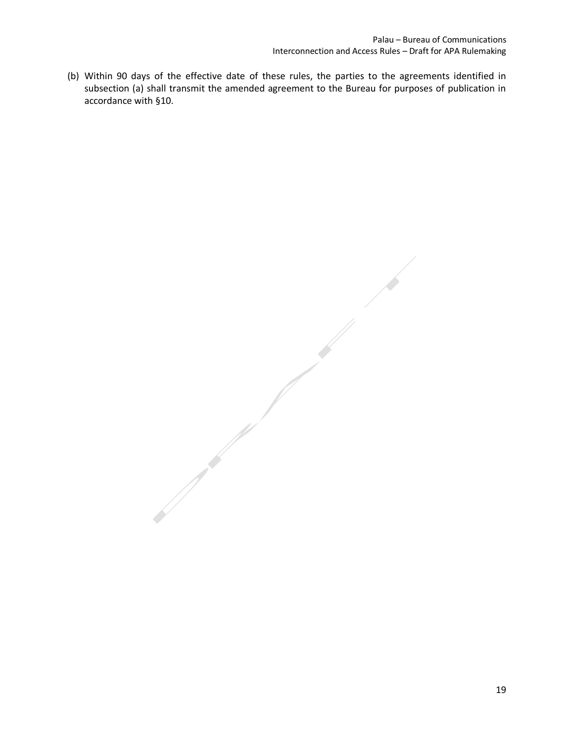(b) Within 90 days of the effective date of these rules, the parties to the agreements identified in subsection (a) shall transmit the amended agreement to the Bureau for purposes of publication in accordance with [§10.](#page-6-3)